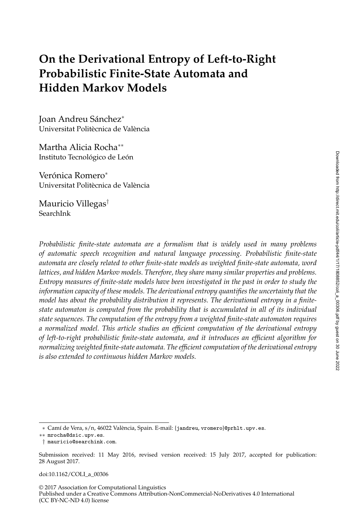# **On the Derivational Entropy of Left-to-Right Probabilistic Finite-State Automata and Hidden Markov Models**

Joan Andreu Sánchez<sup>∗</sup> Universitat Politècnica de València

Martha Alicia Rocha∗∗ Instituto Tecnológico de León

Verónica Romero<sup>∗</sup> Universitat Politècnica de València

Mauricio Villegas† SearchInk

*Probabilistic finite-state automata are a formalism that is widely used in many problems of automatic speech recognition and natural language processing. Probabilistic finite-state automata are closely related to other finite-state models as weighted finite-state automata, word lattices, and hidden Markov models. Therefore, they share many similar properties and problems. Entropy measures of finite-state models have been investigated in the past in order to study the information capacity of these models. The derivational entropy quantifies the uncertainty that the model has about the probability distribution it represents. The derivational entropy in a finitestate automaton is computed from the probability that is accumulated in all of its individual state sequences. The computation of the entropy from a weighted finite-state automaton requires a normalized model. This article studies an efficient computation of the derivational entropy of left-to-right probabilistic finite-state automata, and it introduces an efficient algorithm for normalizing weighted finite-state automata. The efficient computation of the derivational entropy is also extended to continuous hidden Markov models.*

doi:10.1162/COLI\_a\_00306

© 2017 Association for Computational Linguistics Published under a Creative Commons Attribution-NonCommercial-NoDerivatives 4.0 International (CC BY-NC-ND 4.0) license

<sup>∗</sup> Camí de Vera, s/n, 46022 València, Spain. E-mail: {jandreu, vromero}@prhlt.upv.es.

<sup>∗∗</sup> mrocha@dsic.upv.es.

<sup>†</sup> mauricio@searchink.com.

Submission received: 11 May 2016, revised version received: 15 July 2017, accepted for publication: 28 August 2017.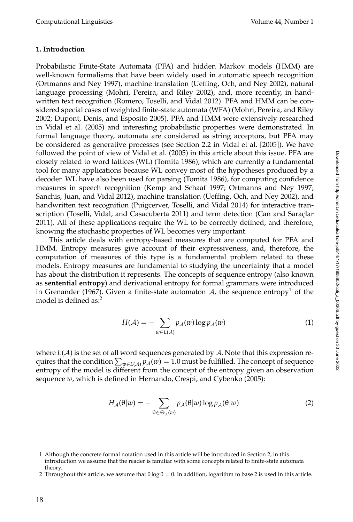## **1. Introduction**

Probabilistic Finite-State Automata (PFA) and hidden Markov models (HMM) are well-known formalisms that have been widely used in automatic speech recognition (Ortmanns and Ney 1997), machine translation (Ueffing, Och, and Ney 2002), natural language processing (Mohri, Pereira, and Riley 2002), and, more recently, in handwritten text recognition (Romero, Toselli, and Vidal 2012). PFA and HMM can be considered special cases of weighted finite-state automata (WFA) (Mohri, Pereira, and Riley 2002; Dupont, Denis, and Esposito 2005). PFA and HMM were extensively researched in Vidal et al. (2005) and interesting probabilistic properties were demonstrated. In formal language theory, automata are considered as string acceptors, but PFA may be considered as generative processes (see Section 2.2 in Vidal et al. [2005]). We have followed the point of view of Vidal et al. (2005) in this article about this issue. PFA are closely related to word lattices (WL) (Tomita 1986), which are currently a fundamental tool for many applications because WL convey most of the hypotheses produced by a decoder. WL have also been used for parsing (Tomita 1986), for computing confidence measures in speech recognition (Kemp and Schaaf 1997; Ortmanns and Ney 1997; Sanchis, Juan, and Vidal 2012), machine translation (Ueffing, Och, and Ney 2002), and handwritten text recognition (Puigcerver, Toselli, and Vidal 2014) for interactive transcription (Toselli, Vidal, and Casacuberta 2011) and term detection (Can and Saraçlar 2011). All of these applications require the WL to be correctly defined, and therefore, knowing the stochastic properties of WL becomes very important.

This article deals with entropy-based measures that are computed for PFA and HMM. Entropy measures give account of their expressiveness, and, therefore, the computation of measures of this type is a fundamental problem related to these models. Entropy measures are fundamental to studying the uncertainty that a model has about the distribution it represents. The concepts of sequence entropy (also known as **sentential entropy**) and derivational entropy for formal grammars were introduced in Grenander (1967). Given a finite-state automaton  $A$ , the sequence entropy<sup>1</sup> of the model is defined as:<sup>2</sup>

$$
H(\mathcal{A}) = -\sum_{w \in L(\mathcal{A})} p_{\mathcal{A}}(w) \log p_{\mathcal{A}}(w) \tag{1}
$$

where  $L(\mathcal{A})$  is the set of all word sequences generated by  $\mathcal{A}$ . Note that this expression requires that the condition  $\sum_{w \in L(\mathcal{A})} p_\mathcal{A}(w) = 1.0$  must be fulfilled. The concept of sequence entropy of the model is different from the concept of the entropy given an observation sequence *w*, which is defined in Hernando, Crespi, and Cybenko (2005):

$$
H_{\mathcal{A}}(\theta|w) = -\sum_{\theta \in \Theta_{\mathcal{A}}(w)} p_{\mathcal{A}}(\theta|w) \log p_{\mathcal{A}}(\theta|w)
$$
 (2)

<sup>1</sup> Although the concrete formal notation used in this article will be introduced in Section 2, in this introduction we assume that the reader is familiar with some concepts related to finite-state automata theory.

<sup>2</sup> Throughout this article, we assume that  $0 \log 0 = 0$ . In addition, logarithm to base 2 is used in this article.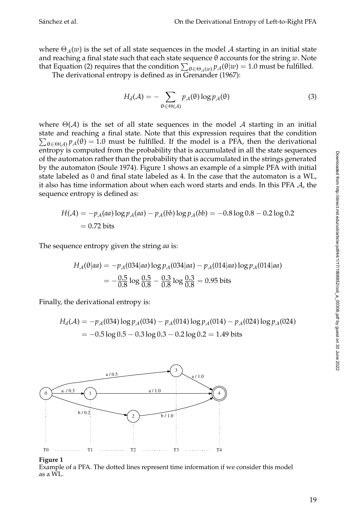where  $\Theta_A(w)$  is the set of all state sequences in the model A starting in an initial state and reaching a final state such that each state sequence θ accounts for the string *w*. Note that Equation (2) requires that the condition  $\sum_{\theta \in \Theta_A(w)} p_A(\theta|w) = 1.0$  must be fulfilled.

The derivational entropy is defined as in Grenander (1967):

$$
H_d(\mathcal{A}) = -\sum_{\theta \in \Theta(\mathcal{A})} p_{\mathcal{A}}(\theta) \log p_{\mathcal{A}}(\theta) \tag{3}
$$

where  $\Theta(A)$  is the set of all state sequences in the model A starting in an initial state and reaching a final state. Note that this expression requires that the condition  $\sum_{\theta \in \Theta(\mathcal{A})} p_{\mathcal{A}}(\theta) = 1.0$  must be fulfilled. If the model is a PFA, then the derivational entropy is computed from the probability that is accumulated in all the state sequences of the automaton rather than the probability that is accumulated in the strings generated by the automaton (Soule 1974). Figure 1 shows an example of a simple PFA with initial state labeled as 0 and final state labeled as 4. In the case that the automaton is a WL, it also has time information about when each word starts and ends. In this PFA  $A$ , the sequence entropy is defined as:

$$
H(A) = -p_A(aa) \log p_A(aa) - p_A(bb) \log p_A(bb) = -0.8 \log 0.8 - 0.2 \log 0.2
$$
  
= 0.72 bits

The sequence entropy given the string *aa* is:

$$
H_A(\theta|aa) = -p_A(034|aa) \log p_A(034|aa) - p_A(014|aa) \log p_A(014|aa)
$$
  
=  $-\frac{0.5}{0.8} \log \frac{0.5}{0.8} - \frac{0.3}{0.8} \log \frac{0.3}{0.8} = 0.95$  bits

Finally, the derivational entropy is:

$$
H_d(\mathcal{A}) = -p_{\mathcal{A}}(034) \log p_{\mathcal{A}}(034) - p_{\mathcal{A}}(014) \log p_{\mathcal{A}}(014) - p_{\mathcal{A}}(024) \log p_{\mathcal{A}}(024)
$$
  
= -0.5 log 0.5 - 0.3 log 0.3 - 0.2 log 0.2 = 1.49 bits



#### **Figure 1**

Example of a PFA. The dotted lines represent time information if we consider this model as a WL.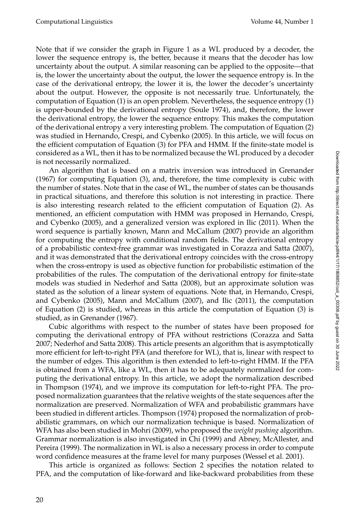Note that if we consider the graph in Figure 1 as a WL produced by a decoder, the lower the sequence entropy is, the better, because it means that the decoder has low uncertainty about the output. A similar reasoning can be applied to the opposite—that is, the lower the uncertainty about the output, the lower the sequence entropy is. In the case of the derivational entropy, the lower it is, the lower the decoder's uncertainty about the output. However, the opposite is not necessarily true. Unfortunately, the computation of Equation (1) is an open problem. Nevertheless, the sequence entropy (1) is upper-bounded by the derivational entropy (Soule 1974), and, therefore, the lower the derivational entropy, the lower the sequence entropy. This makes the computation of the derivational entropy a very interesting problem. The computation of Equation (2) was studied in Hernando, Crespi, and Cybenko (2005). In this article, we will focus on the efficient computation of Equation (3) for PFA and HMM. If the finite-state model is considered as a WL, then it has to be normalized because the WL produced by a decoder is not necessarily normalized.

An algorithm that is based on a matrix inversion was introduced in Grenander (1967) for computing Equation (3), and, therefore, the time complexity is cubic with the number of states. Note that in the case of WL, the number of states can be thousands in practical situations, and therefore this solution is not interesting in practice. There is also interesting research related to the efficient computation of Equation (2). As mentioned, an efficient computation with HMM was proposed in Hernando, Crespi, and Cybenko (2005), and a generalized version was explored in Ilic (2011). When the word sequence is partially known, Mann and McCallum (2007) provide an algorithm for computing the entropy with conditional random fields. The derivational entropy of a probabilistic context-free grammar was investigated in Corazza and Satta (2007), and it was demonstrated that the derivational entropy coincides with the cross-entropy when the cross-entropy is used as objective function for probabilistic estimation of the probabilities of the rules. The computation of the derivational entropy for finite-state models was studied in Nederhof and Satta (2008), but an approximate solution was stated as the solution of a linear system of equations. Note that, in Hernando, Crespi, and Cybenko (2005), Mann and McCallum (2007), and Ilic (2011), the computation of Equation (2) is studied, whereas in this article the computation of Equation (3) is studied, as in Grenander (1967).

Cubic algorithms with respect to the number of states have been proposed for computing the derivational entropy of PFA without restrictions (Corazza and Satta 2007; Nederhof and Satta 2008). This article presents an algorithm that is asymptotically more efficient for left-to-right PFA (and therefore for WL), that is, linear with respect to the number of edges. This algorithm is then extended to left-to-right HMM. If the PFA is obtained from a WFA, like a WL, then it has to be adequately normalized for computing the derivational entropy. In this article, we adopt the normalization described in Thompson (1974), and we improve its computation for left-to-right PFA. The proposed normalization guarantees that the relative weights of the state sequences after the normalization are preserved. Normalization of WFA and probabilistic grammars have been studied in different articles. Thompson (1974) proposed the normalization of probabilistic grammars, on which our normalization technique is based. Normalization of WFA has also been studied in Mohri (2009), who proposed the *weight pushing* algorithm. Grammar normalization is also investigated in Chi (1999) and Abney, McAllester, and Pereira (1999). The normalization in WL is also a necessary process in order to compute word confidence measures at the frame level for many purposes (Wessel et al. 2001).

This article is organized as follows: Section 2 specifies the notation related to PFA, and the computation of like-forward and like-backward probabilities from these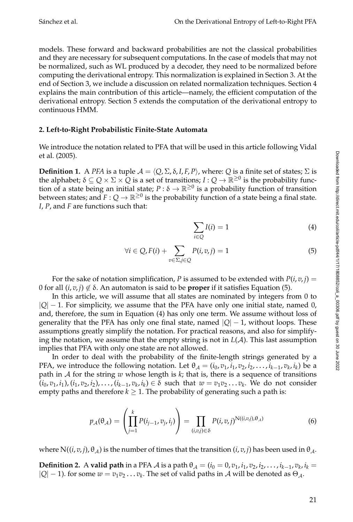models. These forward and backward probabilities are not the classical probabilities and they are necessary for subsequent computations. In the case of models that may not be normalized, such as WL produced by a decoder, they need to be normalized before computing the derivational entropy. This normalization is explained in Section 3. At the end of Section 3, we include a discussion on related normalization techniques. Section 4 explains the main contribution of this article—namely, the efficient computation of the derivational entropy. Section 5 extends the computation of the derivational entropy to continuous HMM.

### **2. Left-to-Right Probabilistic Finite-State Automata**

We introduce the notation related to PFA that will be used in this article following Vidal et al. (2005).

**Definition 1.** A *PFA* is a tuple  $A = \langle Q, \Sigma, \delta, I, F, P \rangle$ , where:  $Q$  is a finite set of states;  $\Sigma$  is the alphabet;  $\delta\subseteq Q\times\Sigma\times Q$  is a set of transitions;  $I:Q\to\mathbb{R}^{\geq 0}$  is the probability function of a state being an initial state;  $P : \delta \to \mathbb{R}^{\geq 0}$  is a probability function of transition between states; and  $F:Q\to\mathbb{R}^{\geq 0}$  is the probability function of a state being a final state. *I*, *P*, and *F* are functions such that:

$$
\sum_{i \in Q} I(i) = 1 \tag{4}
$$

$$
\forall i \in Q, F(i) + \sum_{v \in \Sigma, j \in Q} P(i, v, j) = 1 \tag{5}
$$

For the sake of notation simplification, *P* is assumed to be extended with  $P(i, v, j) =$ 0 for all  $(i, v, j) \notin \delta$ . An automaton is said to be **proper** if it satisfies Equation (5).

In this article, we will assume that all states are nominated by integers from 0 to  $|Q| - 1$ . For simplicity, we assume that the PFA have only one initial state, named 0, and, therefore, the sum in Equation (4) has only one term. We assume without loss of generality that the PFA has only one final state, named  $|Q| - 1$ , without loops. These assumptions greatly simplify the notation. For practical reasons, and also for simplifying the notation, we assume that the empty string is not in  $L(\mathcal{A})$ . This last assumption implies that PFA with only one state are not allowed.

In order to deal with the probability of the finite-length strings generated by a PFA, we introduce the following notation. Let  $\theta_A = (i_0, v_1, i_1, v_2, i_2, \ldots, i_{k-1}, v_k, i_k)$  be a path in A for the string *w* whose length is *k*; that is, there is a sequence of transitions  $(i_0, v_1, i_1), (i_1, v_2, i_2), \ldots, (i_{k-1}, v_k, i_k) \in \delta$  such that  $w = v_1v_2 \ldots v_k$ . We do not consider empty paths and therefore  $k \geq 1$ . The probability of generating such a path is:

$$
p_{\mathcal{A}}(\theta_{\mathcal{A}}) = \left(\prod_{j=1}^{k} P(i_{j-1}, v_j, i_j)\right) = \prod_{(i,v,j)\in\delta} P(i, v, j)^{\mathcal{N}((i,v,j), \theta_{\mathcal{A}})}
$$
(6)

where  $N((i, v, j), \theta_A)$  is the number of times that the transition  $(i, v, j)$  has been used in  $\theta_A$ .

**Definition 2.** A **valid path** in a PFA  $\mathcal A$  is a path  $\theta_{\mathcal A} = (i_0 = 0, v_1, i_1, v_2, i_2, \ldots, i_{k-1}, v_k, i_k = 1, 0$  $|Q|$  − 1). for some  $w = v_1v_2 \dots v_k$ . The set of valid paths in A will be denoted as  $\Theta_A$ .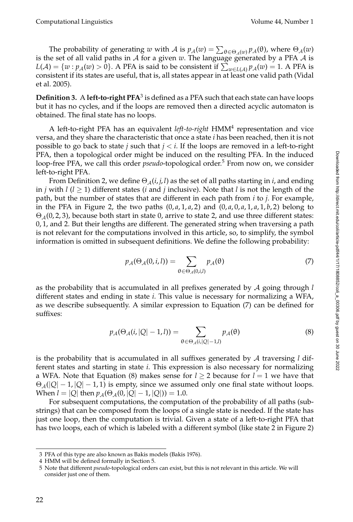The probability of generating *w* with *A* is  $p_A(w) = \sum_{\theta \in \Theta_A(w)} p_A(\theta)$ , where  $\Theta_A(w)$ is the set of all valid paths in  $A$  for a given  $w$ . The language generated by a PFA  $A$  is  $L(\mathcal{A}) = \{w : p_{\mathcal{A}}(w) > 0\}$ . A PFA is said to be consistent if  $\sum_{w \in L(\mathcal{A})} p_{\mathcal{A}}(w) = 1$ . A PFA is consistent if its states are useful, that is, all states appear in at least one valid path (Vidal et al. 2005).

 $\bf{Definition 3.~A~left-to-right~PFA}^3$  is defined as a PFA such that each state can have loops but it has no cycles, and if the loops are removed then a directed acyclic automaton is obtained. The final state has no loops.

A left-to-right PFA has an equivalent *left-to-right* HMM<sup>4</sup> representation and vice versa, and they share the characteristic that once a state *i* has been reached, then it is not possible to go back to state *j* such that *j* < *i*. If the loops are removed in a left-to-right PFA, then a topological order might be induced on the resulting PFA. In the induced loop-free PFA, we call this order *pseudo*-topological order.<sup>5</sup> From now on, we consider left-to-right PFA.

From Definition 2, we define  $\Theta_{\mathcal{A}}(i, j, l)$  as the set of all paths starting in *i*, and ending in *j* with  $l$  ( $l \ge 1$ ) different states (*i* and *j* inclusive). Note that *l* is not the length of the path, but the number of states that are different in each path from *i* to *j*. For example, in the PFA in Figure 2, the two paths  $(0, a, 1, a, 2)$  and  $(0, a, 0, a, 1, a, 1, b, 2)$  belong to  $\Theta_{\mathcal{A}}(0, 2, 3)$ , because both start in state 0, arrive to state 2, and use three different states: 0, 1, and 2. But their lengths are different. The generated string when traversing a path is not relevant for the computations involved in this article, so, to simplify, the symbol information is omitted in subsequent definitions. We define the following probability:

$$
p_{\mathcal{A}}(\Theta_{\mathcal{A}}(0,i,l)) = \sum_{\Theta \in \Theta_{\mathcal{A}}(0,i,l)} p_{\mathcal{A}}(\Theta) \tag{7}
$$

as the probability that is accumulated in all prefixes generated by A going through *l* different states and ending in state *i*. This value is necessary for normalizing a WFA, as we describe subsequently. A similar expression to Equation (7) can be defined for suffixes:

$$
p_{\mathcal{A}}(\Theta_{\mathcal{A}}(i,|Q|-1,l)) = \sum_{\Theta \in \Theta_{\mathcal{A}}(i,|Q|-1,l)} p_{\mathcal{A}}(\Theta)
$$
\n(8)

is the probability that is accumulated in all suffixes generated by A traversing *l* different states and starting in state *i*. This expression is also necessary for normalizing a WFA. Note that Equation (8) makes sense for  $l \geq 2$  because for  $l = 1$  we have that  $\Theta_{\mathcal{A}}(|Q|-1,|Q|-1,1)$  is empty, since we assumed only one final state without loops. When  $l = |Q|$  then  $p_A(\Theta_A(0, |Q| - 1, |Q|)) = 1.0$ .

For subsequent computations, the computation of the probability of all paths (substrings) that can be composed from the loops of a single state is needed. If the state has just one loop, then the computation is trivial. Given a state of a left-to-right PFA that has two loops, each of which is labeled with a different symbol (like state 2 in Figure 2) Downloaded from http://direct.mit.edu/coli/article-pdf/44/1/17/1808852/coli\_a\_00306.pdf by guest on 30 June 2022

<sup>3</sup> PFA of this type are also known as Bakis models (Bakis 1976).

<sup>4</sup> HMM will be defined formally in Section 5.

<sup>5</sup> Note that different *pseudo*-topological orders can exist, but this is not relevant in this article. We will consider just one of them.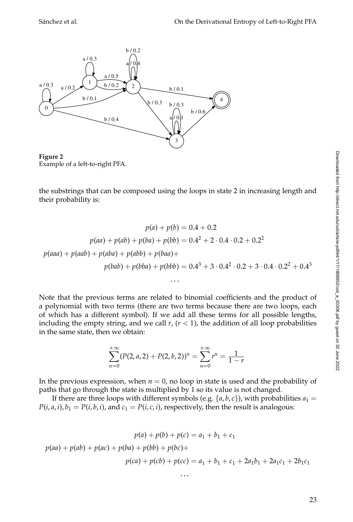

**Figure 2** Example of a left-to-right PFA.

the substrings that can be composed using the loops in state 2 in increasing length and their probability is:

$$
p(a) + p(b) = 0.4 + 0.2
$$
  
\n
$$
p(aa) + p(ab) + p(ba) + p(bb) = 0.4^2 + 2 \cdot 0.4 \cdot 0.2 + 0.2^2
$$
  
\n
$$
p(aaa) + p(aab) + p(aba) + p(baa) + p(baa) + p(bbb) = 0.4^3 + 3 \cdot 0.4^2 \cdot 0.2 + 3 \cdot 0.4 \cdot 0.2^2 + 0.4^3
$$

. . .

Note that the previous terms are related to binomial coefficients and the product of a polynomial with two terms (there are two terms because there are two loops, each of which has a different symbol). If we add all these terms for all possible lengths, including the empty string, and we call  $r$ ,  $(r < 1)$ , the addition of all loop probabilities in the same state, then we obtain:

$$
\sum_{n=0}^{+\infty} (P(2, a, 2) + P(2, b, 2))^n = \sum_{n=0}^{+\infty} r^n = \frac{1}{1-r}
$$

In the previous expression, when  $n = 0$ , no loop in state is used and the probability of paths that go through the state is multiplied by 1 so its value is not changed.

If there are three loops with different symbols (e.g.  $\{a, b, c\}$ ), with probabilities  $a_1 =$  $P(i, a, i)$ ,  $b_1 = P(i, b, i)$ , and  $c_1 = P(i, c, i)$ , respectively, then the result is analogous:

$$
p(a) + p(b) + p(c) = a_1 + b_1 + c_1
$$
  

$$
p(aa) + p(ab) + p(ba) + p(bb) + p(bc) +
$$
  

$$
p(ca) + p(cb) + p(cc) = a_1 + b_1 + c_1 + 2a_1b_1 + 2a_1c_1 + 2b_1c_1
$$

. . .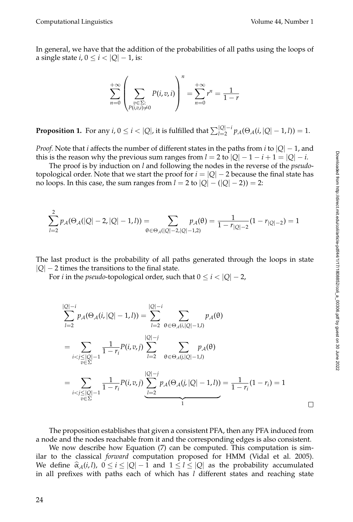In general, we have that the addition of the probabilities of all paths using the loops of a single state  $i, 0 \le i < |Q| - 1$ , is:

$$
\sum_{n=0}^{+\infty} \left( \sum_{\substack{v \in \Sigma: \\ P(i,v,i) \neq 0}} P(i,v,i) \right)^n = \sum_{n=0}^{+\infty} r^n = \frac{1}{1-r}
$$

**Proposition 1.** For any  $i, 0 \le i < |Q|$ , it is fulfilled that  $\sum_{l=2}^{|Q|-i} p_{\mathcal{A}}(\Theta_{\mathcal{A}}(i, |Q|-1, l)) = 1$ .

*Proof.* Note that *i* affects the number of different states in the paths from *i* to |*Q*| − 1, and this is the reason why the previous sum ranges from  $l = 2$  to  $|Q| - 1 - i + 1 = |Q| - i$ .

The proof is by induction on *l* and following the nodes in the reverse of the *pseudo*topological order. Note that we start the proof for  $i = |Q| - 2$  because the final state has no loops. In this case, the sum ranges from  $l = 2$  to  $|Q| - (|Q| - 2) = 2$ :

$$
\sum_{l=2}^{2} p_{\mathcal{A}}(\Theta_{\mathcal{A}}(|Q|-2,|Q|-1,l)) = \sum_{\theta \in \Theta_{\mathcal{A}}(|Q|-2,|Q|-1,2)} p_{\mathcal{A}}(\theta) = \frac{1}{1-r_{|Q|-2}}(1-r_{|Q|-2}) = 1
$$

The last product is the probability of all paths generated through the loops in state  $|Q|$  – 2 times the transitions to the final state.

For *i* in the *pseudo*-topological order, such that  $0 \le i < |Q| - 2$ ,

$$
\sum_{l=2}^{|Q|-i} p_{A}(\Theta_{A}(i,|Q|-1,l)) = \sum_{l=2}^{|Q|-i} \sum_{\theta \in \Theta_{A}(i,|Q|-1,l)} p_{A}(\theta)
$$
  
= 
$$
\sum_{\substack{i < j \leq |Q|-1 \\ v \in \Sigma}} \frac{1}{1-r_{i}} P(i, v, j) \sum_{l=2}^{|Q|-j} \sum_{\theta \in \Theta_{A}(j,|Q|-1,l)} p_{A}(\theta)
$$
  
= 
$$
\sum_{\substack{i < j \leq |Q|-1 \\ v \in \Sigma}} \frac{1}{1-r_{i}} P(i, v, j) \sum_{l=2}^{|Q|-j} p_{A}(\Theta_{A}(j,|Q|-1,l)) = \frac{1}{1-r_{i}} (1-r_{i}) = 1
$$

The proposition establishes that given a consistent PFA, then any PFA induced from a node and the nodes reachable from it and the corresponding edges is also consistent.

We now describe how Equation (7) can be computed. This computation is similar to the classical *forward* computation proposed for HMM (Vidal et al. 2005). We define  $\hat{\alpha}_A(i,l)$ ,  $0 \le i \le |Q|-1$  and  $1 \le l \le |Q|$  as the probability accumulated in all prefixes with paths each of which has *l* different states and reaching state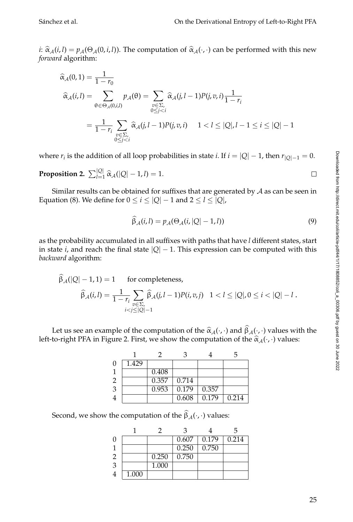$\Box$ 

*i*:  $\hat{\alpha}_A(i, l) = p_A(\Theta_A(0, i, l))$ . The computation of  $\hat{\alpha}_A(\cdot, \cdot)$  can be performed with this new *forward* algorithm:

$$
\begin{aligned}\n\widehat{\alpha}_{\mathcal{A}}(0,1) &= \frac{1}{1-r_0} \\
\widehat{\alpha}_{\mathcal{A}}(i,l) &= \sum_{\theta \in \Theta_{\mathcal{A}}(0,i,l)} p_{\mathcal{A}}(\theta) = \sum_{\substack{v \in \Sigma, \\ 0 \le j < i}} \widehat{\alpha}_{\mathcal{A}}(j,l-1)P(j,v,i) \frac{1}{1-r_i} \\
&= \frac{1}{1-r_i} \sum_{\substack{v \in \Sigma, \\ 0 \le j < i}} \widehat{\alpha}_{\mathcal{A}}(j,l-1)P(j,v,i) \quad 1 < l \le |Q|, l-1 \le i \le |Q|-1\n\end{aligned}
$$

where  $r_i$  is the addition of all loop probabilities in state *i*. If  $i = |Q| - 1$ , then  $r_{|Q|-1} = 0$ .

**Proposition 2.**  $\sum_{l=1}^{|Q|} \hat{\alpha}_{\mathcal{A}}(|Q| - 1, l) = 1.$ 

Similar results can be obtained for suffixes that are generated by  $A$  as can be seen in Equation (8). We define for  $0 \le i \le |Q| - 1$  and  $2 \le l \le |Q|$ ,

$$
\widehat{\beta}_{\mathcal{A}}(i,l) = p_{\mathcal{A}}(\Theta_{\mathcal{A}}(i,|Q|-1,l))
$$
\n(9)

as the probability accumulated in all suffixes with paths that have *l* different states, start in state *i*, and reach the final state  $|Q| - 1$ . This expression can be computed with this *backward* algorithm:

$$
\widehat{\beta}_{\mathcal{A}}(|Q|-1,1) = 1 \quad \text{for completeness},
$$
  

$$
\widehat{\beta}_{\mathcal{A}}(i,l) = \frac{1}{1-r_i} \sum_{\substack{v \in \Sigma, \\ i < j \le |Q|-1}} \widehat{\beta}_{\mathcal{A}}(j,l-1) P(i,v,j) \quad 1 < l \le |Q|, 0 \le i < |Q|-l.
$$

Let us see an example of the computation of the  $\hat{\alpha}_A(\cdot, \cdot)$  and  $\beta_A(\cdot, \cdot)$  values with the to-right PEA in Figure 2. First, we show the computation of the  $\hat{\alpha}_A(\cdot, \cdot)$  values left-to-right PFA in Figure 2. First, we show the computation of the  $\hat{\alpha}_A(\cdot, \cdot)$  values:

|          |       |       |       |       | h     |
|----------|-------|-------|-------|-------|-------|
| $\Omega$ | 1.429 |       |       |       |       |
|          |       | 0.408 |       |       |       |
| 2        |       | 0.357 | 0.714 |       |       |
| 3        |       | 0.953 | 0.179 | 0.357 |       |
|          |       |       | 0.608 | 0.179 | 0.214 |

Second, we show the computation of the  $\beta_{\mathcal{A}}(\cdot,\cdot)$  values:

|                |       |       | 2     |       |       |
|----------------|-------|-------|-------|-------|-------|
| $\mathbf{0}$   |       |       | 0.607 | 0.179 | 0.214 |
|                |       |       | 0.250 | 0.750 |       |
| $\overline{2}$ |       | 0.250 | 0.750 |       |       |
| 3              |       | 1.000 |       |       |       |
|                | 1.000 |       |       |       |       |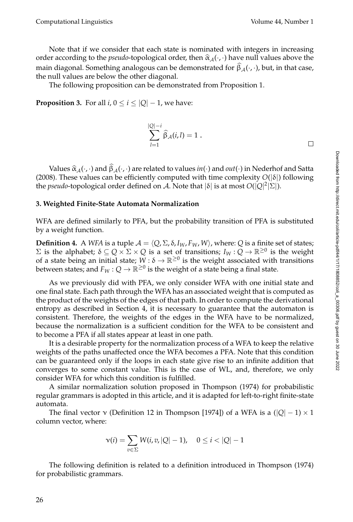Note that if we consider that each state is nominated with integers in increasing order according to the *pseudo*-topological order, then  $\hat{\alpha}_A(\cdot, \cdot)$  have null values above the main diagonal. Something analogous can be demonstrated for  $\beta_{\mathcal{A}}(\cdot, \cdot)$ , but, in that case, the null values are below the other diagonal.

The following proposition can be demonstrated from Proposition 1.

**Proposition 3.** For all *i*,  $0 \le i \le |Q| - 1$ , we have:

$$
\sum_{l=1}^{|Q|-i} \widehat{\beta}_A(i,l) = 1 .
$$

Values  $\hat{\alpha}_A(\cdot, \cdot)$  and  $\beta_A(\cdot, \cdot)$  are related to values *in*( $\cdot$ ) and *out*( $\cdot$ ) in Nederhof and Satta 8). These values can be efficiently computed with time complexity  $O(|\delta|)$  following (2008). These values can be efficiently computed with time complexity  $O(|\delta|)$  following the *pseudo*-topological order defined on A. Note that |δ| is at most *O*(|*Q*| 2 |Σ|).

#### **3. Weighted Finite-State Automata Normalization**

WFA are defined similarly to PFA, but the probability transition of PFA is substituted by a weight function.

**Definition 4.** A *WFA* is a tuple  $A = \langle Q, \Sigma, \delta, I_W, F_W, W \rangle$ , where: *Q* is a finite set of states;  $Σ$  is the alphabet;  $δ ⊆ Q × Σ × Q$  is a set of transitions;  $I_W : Q → ℝ ≥ 0$  is the weight of a state being an initial state;  $W : \delta \to \mathbb{R}^{\geq 0}$  is the weight associated with transitions between states; and  $F_W:Q\to\mathbb{R}^{\geq 0}$  is the weight of a state being a final state.

As we previously did with PFA, we only consider WFA with one initial state and one final state. Each path through the WFA has an associated weight that is computed as the product of the weights of the edges of that path. In order to compute the derivational entropy as described in Section 4, it is necessary to guarantee that the automaton is consistent. Therefore, the weights of the edges in the WFA have to be normalized, because the normalization is a sufficient condition for the WFA to be consistent and to become a PFA if all states appear at least in one path.

It is a desirable property for the normalization process of a WFA to keep the relative weights of the paths unaffected once the WFA becomes a PFA. Note that this condition can be guaranteed only if the loops in each state give rise to an infinite addition that converges to some constant value. This is the case of WL, and, therefore, we only consider WFA for which this condition is fulfilled.

A similar normalization solution proposed in Thompson (1974) for probabilistic regular grammars is adopted in this article, and it is adapted for left-to-right finite-state automata.

The final vector  $\gamma$  (Definition 12 in Thompson [1974]) of a WFA is a ( $|Q| - 1 \rangle \times 1$ column vector, where:

$$
\mathsf{v}(i) = \sum_{v \in \Sigma} W(i, v, |Q| - 1), \quad 0 \leq i < |Q| - 1
$$

The following definition is related to a definition introduced in Thompson (1974) for probabilistic grammars.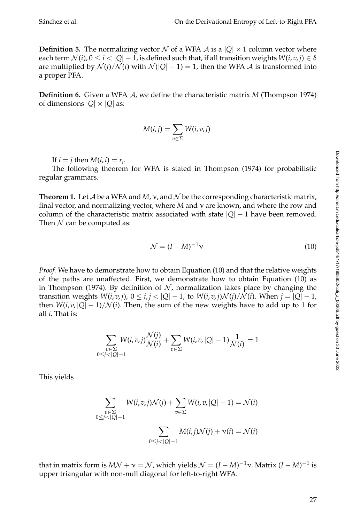**Definition 5.** The normalizing vector N of a WFA A is a  $|Q| \times 1$  column vector where each term  $\mathcal{N}(i)$ ,  $0 \le i < |Q| - 1$ , is defined such that, if all transition weights  $W(i, v, j) \in \delta$ are multiplied by  $\mathcal{N}(i)/\mathcal{N}(i)$  with  $\mathcal{N}(|Q|-1) = 1$ , then the WFA  $\mathcal{A}$  is transformed into a proper PFA.

**Definition 6.** Given a WFA A, we define the characteristic matrix *M* (Thompson 1974) of dimensions  $|Q| \times |Q|$  as:

$$
M(i,j) = \sum_{v \in \Sigma} W(i,v,j)
$$

If  $i = j$  then  $M(i, i) = r_i$ .

The following theorem for WFA is stated in Thompson (1974) for probabilistic regular grammars.

**Theorem 1.** Let  $\mathcal A$  be a WFA and  $M$ ,  $\nu$ , and  $\mathcal N$  be the corresponding characteristic matrix, final vector, and normalizing vector, where *M* and ν are known, and where the row and column of the characteristic matrix associated with state  $|Q| - 1$  have been removed. Then  $N$  can be computed as:

$$
\mathcal{N} = (I - M)^{-1} \mathbf{v} \tag{10}
$$

*Proof.* We have to demonstrate how to obtain Equation (10) and that the relative weights of the paths are unaffected. First, we demonstrate how to obtain Equation (10) as in Thompson (1974). By definition of  $N$ , normalization takes place by changing the transition weights  $W(i, v, j)$ ,  $0 \leq i, j < |Q| - 1$ , to  $W(i, v, j) \mathcal{N}(j) / \mathcal{N}(i)$ . When  $j = |Q| - 1$ , then  $W(i, v, |Q| - 1) / \mathcal{N}(i)$ . Then, the sum of the new weights have to add up to 1 for all *i*. That is:

$$
\sum_{\substack{v \in \Sigma \\ 0 \le j < |Q|-1}} W(i, v, j) \frac{\mathcal{N}(j)}{\mathcal{N}(i)} + \sum_{v \in \Sigma} W(i, v, |Q| - 1) \frac{1}{\mathcal{N}(i)} = 1
$$

This yields

$$
\sum_{\substack{v \in \Sigma \\ 0 \le j < |Q| - 1}} W(i, v, j) \mathcal{N}(j) + \sum_{v \in \Sigma} W(i, v, |Q| - 1) = \mathcal{N}(i)
$$
\n
$$
\sum_{0 \le j < |Q| - 1} M(i, j) \mathcal{N}(j) + \mathcal{V}(i) = \mathcal{N}(i)
$$

that in matrix form is  $M\mathcal{N} + \mathcal{V} = \mathcal{N}$ , which yields  $\mathcal{N} = (I - M)^{-1}\mathcal{V}$ . Matrix  $(I - M)^{-1}$  is upper triangular with non-null diagonal for left-to-right WFA.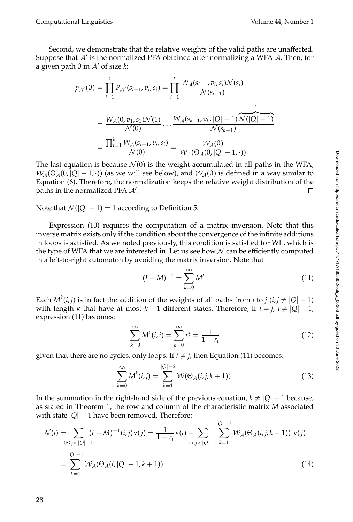Computational Linguistics Volume 44, Number 1

Second, we demonstrate that the relative weights of the valid paths are unaffected. Suppose that  $A'$  is the normalized PFA obtained after normalizing a WFA A. Then, for a given path  $θ$  in  $A'$  of size  $k$ :

$$
p_{A'}(\theta) = \prod_{i=1}^{k} P_{A'}(s_{i-1}, v_i, s_i) = \prod_{i=1}^{k} \frac{W_A(s_{i-1}, v_i, s_i) \mathcal{N}(s_i)}{\mathcal{N}(s_{i-1})}
$$
  
= 
$$
\frac{W_A(0, v_1, s_1) \mathcal{N}(1)}{\mathcal{N}(0)} \cdots \frac{W_A(s_{k-1}, v_k, |Q| - 1) \mathcal{N}(|Q| - 1)}{\mathcal{N}(s_{k-1})}
$$
  
= 
$$
\frac{\prod_{i=1}^{k} W_A(s_{i-1}, v_i, s_i)}{\mathcal{N}(0)} = \frac{\mathcal{W}_A(\theta)}{\mathcal{W}_A(\theta_A(0, |Q| - 1, \cdot))}
$$

The last equation is because  $\mathcal{N}(0)$  is the weight accumulated in all paths in the WFA,  $W_A(\Theta_A(0, |Q|-1, \cdot))$  (as we will see below), and  $W_A(\theta)$  is defined in a way similar to Equation (6). Therefore, the normalization keeps the relative weight distribution of the paths in the normalized PFA  $A'$ . П

Note that  $\mathcal{N}(|Q|-1) = 1$  according to Definition 5.

Expression (10) requires the computation of a matrix inversion. Note that this inverse matrix exists only if the condition about the convergence of the infinite additions in loops is satisfied. As we noted previously, this condition is satisfied for WL, which is the type of WFA that we are interested in. Let us see how  $N$  can be efficiently computed in a left-to-right automaton by avoiding the matrix inversion. Note that

$$
(I - M)^{-1} = \sum_{k=0}^{\infty} M^k
$$
 (11)

Each  $M^k(i,j)$  is in fact the addition of the weights of all paths from *i* to *j* (*i*, *j*  $\neq |Q| - 1$ ) with length *k* that have at most  $k+1$  different states. Therefore, if  $i = j$ ,  $i \neq |Q|-1$ , expression (11) becomes:

$$
\sum_{k=0}^{\infty} M^{k}(i, i) = \sum_{k=0}^{\infty} r_{i}^{k} = \frac{1}{1 - r_{i}}
$$
\n(12)

given that there are no cycles, only loops. If  $i \neq j$ , then Equation (11) becomes:

$$
\sum_{k=0}^{\infty} M^{k}(i,j) = \sum_{k=1}^{|Q|-2} W(\Theta_{\mathcal{A}}(i,j,k+1))
$$
\n(13)

In the summation in the right-hand side of the previous equation,  $k \neq |Q| - 1$  because, as stated in Theorem 1, the row and column of the characteristic matrix *M* associated with state  $|Q| - 1$  have been removed. Therefore:

$$
\mathcal{N}(i) = \sum_{0 \le j < |Q|-1} (I - M)^{-1}(i, j)\mathbf{v}(j) = \frac{1}{1 - r_i} \mathbf{v}(i) + \sum_{i < j < |Q|-1} \sum_{k=1}^{|Q|-2} \mathcal{W}_{\mathcal{A}}(\Theta_{\mathcal{A}}(i, j, k+1)) \mathbf{v}(j)
$$
\n
$$
= \sum_{k=1}^{|Q|-1} \mathcal{W}_{\mathcal{A}}(\Theta_{\mathcal{A}}(i, |Q|-1, k+1)) \tag{14}
$$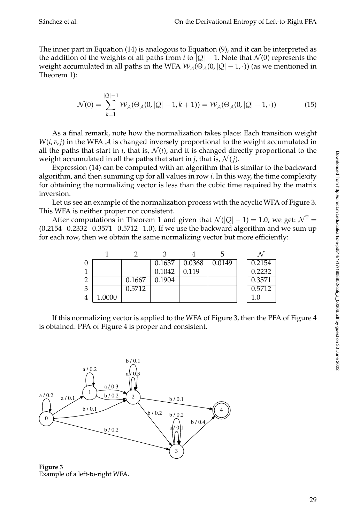The inner part in Equation (14) is analogous to Equation (9), and it can be interpreted as the addition of the weights of all paths from *i* to  $|Q| - 1$ . Note that  $\mathcal{N}(0)$  represents the weight accumulated in all paths in the WFA  $W_A(\Theta_A(0, |Q|-1, \cdot))$  (as we mentioned in Theorem 1):

$$
\mathcal{N}(0) = \sum_{k=1}^{|Q|-1} \mathcal{W}_{\mathcal{A}}(\Theta_{\mathcal{A}}(0, |Q|-1, k+1)) = \mathcal{W}_{\mathcal{A}}(\Theta_{\mathcal{A}}(0, |Q|-1, \cdot))
$$
(15)

As a final remark, note how the normalization takes place: Each transition weight  $W(i, v, j)$  in the WFA  $A$  is changed inversely proportional to the weight accumulated in all the paths that start in  $i$ , that is,  $\mathcal{N}(i)$ , and it is changed directly proportional to the weight accumulated in all the paths that start in *j*, that is,  $\mathcal{N}(j)$ .

Expression (14) can be computed with an algorithm that is similar to the backward algorithm, and then summing up for all values in row *i*. In this way, the time complexity for obtaining the normalizing vector is less than the cubic time required by the matrix inversion.

Let us see an example of the normalization process with the acyclic WFA of Figure 3. This WFA is neither proper nor consistent.

After computations in Theorem 1 and given that  $\mathcal{N}(|Q|-1) = 1.0$ , we get:  $\mathcal{N}^T =$ (0.2154 0.2332 0.3571 0.5712 1.0). If we use the backward algorithm and we sum up for each row, then we obtain the same normalizing vector but more efficiently:

|   |        |        | 0.1637 | 0.0368 | 0.0149 | 0.2154 |
|---|--------|--------|--------|--------|--------|--------|
|   |        |        | 0.1042 | 0.119  |        | 0.2232 |
|   |        | 0.1667 | 0.1904 |        |        | 0.3571 |
| 3 |        | 0.5712 |        |        |        | 0.5712 |
|   | 1.0000 |        |        |        |        |        |

If this normalizing vector is applied to the WFA of Figure 3, then the PFA of Figure 4 is obtained. PFA of Figure 4 is proper and consistent.



**Figure 3** Example of a left-to-right WFA.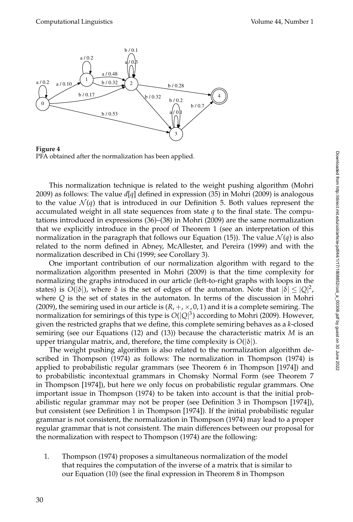

**Figure 4** PFA obtained after the normalization has been applied.

This normalization technique is related to the weight pushing algorithm (Mohri 2009) as follows: The value  $d[q]$  defined in expression (35) in Mohri (2009) is analogous to the value  $\mathcal{N}(q)$  that is introduced in our Definition 5. Both values represent the accumulated weight in all state sequences from state *q* to the final state. The computations introduced in expressions (36)–(38) in Mohri (2009) are the same normalization that we explicitly introduce in the proof of Theorem 1 (see an interpretation of this normalization in the paragraph that follows our Equation (15)). The value  $\mathcal{N}(q)$  is also related to the norm defined in Abney, McAllester, and Pereira (1999) and with the normalization described in Chi (1999; see Corollary 3).

One important contribution of our normalization algorithm with regard to the normalization algorithm presented in Mohri (2009) is that the time complexity for normalizing the graphs introduced in our article (left-to-right graphs with loops in the states) is  $O(|\delta|)$ , where  $\delta$  is the set of edges of the automaton. Note that  $|\delta| \leq |Q|^2$ , where *Q* is the set of states in the automaton. In terms of the discussion in Mohri (2009), the semiring used in our article is  $(R, +, \times, 0, 1)$  and it is a complete semiring. The normalization for semirings of this type is *O*(|*Q*| 3 ) according to Mohri (2009). However, given the restricted graphs that we define, this complete semiring behaves as a *k*-closed semiring (see our Equations (12) and (13)) because the characteristic matrix *M* is an upper triangular matrix, and, therefore, the time complexity is  $O(|\delta|)$ .

The weight pushing algorithm is also related to the normalization algorithm described in Thompson (1974) as follows: The normalization in Thompson (1974) is applied to probabilistic regular grammars (see Theorem 6 in Thompson [1974]) and to probabilistic incontextual grammars in Chomsky Normal Form (see Theorem 7 in Thompson [1974]), but here we only focus on probabilistic regular grammars. One important issue in Thompson (1974) to be taken into account is that the initial probabilistic regular grammar may not be proper (see Definition 3 in Thompson [1974]), but consistent (see Definition 1 in Thompson [1974]). If the initial probabilistic regular grammar is not consistent, the normalization in Thompson (1974) may lead to a proper regular grammar that is not consistent. The main differences between our proposal for the normalization with respect to Thompson (1974) are the following:

1. Thompson (1974) proposes a simultaneous normalization of the model that requires the computation of the inverse of a matrix that is similar to our Equation (10) (see the final expression in Theorem 8 in Thompson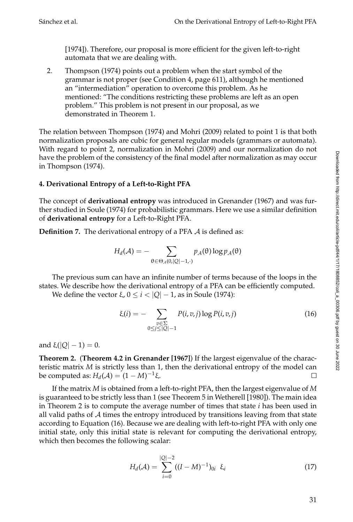[1974]). Therefore, our proposal is more efficient for the given left-to-right automata that we are dealing with.

2. Thompson (1974) points out a problem when the start symbol of the grammar is not proper (see Condition 4, page 611), although he mentioned an "intermediation" operation to overcome this problem. As he mentioned: "The conditions restricting these problems are left as an open problem." This problem is not present in our proposal, as we demonstrated in Theorem 1.

The relation between Thompson (1974) and Mohri (2009) related to point 1 is that both normalization proposals are cubic for general regular models (grammars or automata). With regard to point 2, normalization in Mohri (2009) and our normalization do not have the problem of the consistency of the final model after normalization as may occur in Thompson (1974).

# **4. Derivational Entropy of a Left-to-Right PFA**

The concept of **derivational entropy** was introduced in Grenander (1967) and was further studied in Soule (1974) for probabilistic grammars. Here we use a similar definition of **derivational entropy** for a Left-to-Right PFA.

**Definition 7.** The derivational entropy of a PFA A is defined as:

$$
H_d(\mathcal{A}) = - \sum_{\theta \in \Theta_\mathcal{A}(0, |Q|-1, \cdot)} p_\mathcal{A}(\theta) \log p_\mathcal{A}(\theta)
$$

The previous sum can have an infinite number of terms because of the loops in the states. We describe how the derivational entropy of a PFA can be efficiently computed.

We define the vector ξ,  $0 \le i < |Q| - 1$ , as in Soule (1974):

$$
\xi(i) = -\sum_{\substack{v \in \Sigma \\ 0 \le j \le |Q|-1}} P(i, v, j) \log P(i, v, j) \tag{16}
$$

and  $\xi(|Q| - 1) = 0$ .

**Theorem 2.** (**Theorem 4.2 in Grenander [1967]**) If the largest eigenvalue of the characteristic matrix *M* is strictly less than 1, then the derivational entropy of the model can  $be computed as: H_d(A) = (1 - M)^{-1}$ ξ.  $\Box$ 

If the matrix *M* is obtained from a left-to-right PFA, then the largest eigenvalue of *M* is guaranteed to be strictly less than 1 (see Theorem 5 in Wetherell [1980]). The main idea in Theorem 2 is to compute the average number of times that state *i* has been used in all valid paths of  $A$  times the entropy introduced by transitions leaving from that state according to Equation (16). Because we are dealing with left-to-right PFA with only one initial state, only this initial state is relevant for computing the derivational entropy, which then becomes the following scalar:

$$
H_d(\mathcal{A}) = \sum_{i=0}^{|Q|-2} ((I - M)^{-1})_{0i} \xi_i
$$
 (17)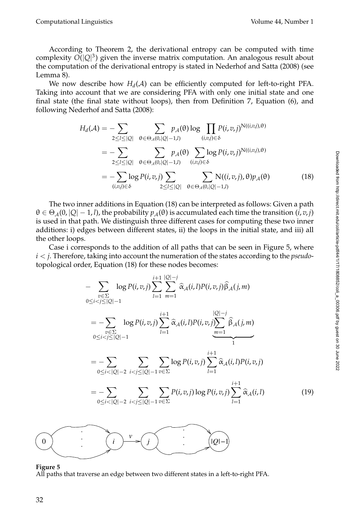#### Computational Linguistics Volume 44, Number 1

According to Theorem 2, the derivational entropy can be computed with time complexity  $O(|Q|^3)$  given the inverse matrix computation. An analogous result about the computation of the derivational entropy is stated in Nederhof and Satta (2008) (see Lemma 8).

We now describe how  $H_d(A)$  can be efficiently computed for left-to-right PFA. Taking into account that we are considering PFA with only one initial state and one final state (the final state without loops), then from Definition 7, Equation (6), and following Nederhof and Satta (2008):

$$
H_d(\mathcal{A}) = -\sum_{2 \leq l \leq |\mathcal{Q}|} \sum_{\theta \in \Theta_{\mathcal{A}}(0,|\mathcal{Q}|-1,l)} p_{\mathcal{A}}(\theta) \log \prod_{(i,v,j) \in \delta} P(i,v,j)^{N((i,v,j),\theta)}
$$
  
= 
$$
-\sum_{2 \leq l \leq |\mathcal{Q}|} \sum_{\theta \in \Theta_{\mathcal{A}}(0,|\mathcal{Q}|-1,l)} p_{\mathcal{A}}(\theta) \sum_{(i,v,j) \in \delta} \log P(i,v,j)^{N((i,v,j),\theta)}
$$
  
= 
$$
-\sum_{(i,v,j) \in \delta} \log P(i,v,j) \sum_{2 \leq l \leq |\mathcal{Q}|} \sum_{\theta \in \Theta_{\mathcal{A}}(0,|\mathcal{Q}|-1,l)} N((i,v,j),\theta) p_{\mathcal{A}}(\theta)
$$
(18)

The two inner additions in Equation (18) can be interpreted as follows: Given a path  $\theta \in \Theta_A(0, |Q| - 1, l)$ , the probability  $p_A(\theta)$  is accumulated each time the transition  $(i, v, j)$ is used in that path. We distinguish three different cases for computing these two inner additions: i) edges between different states, ii) the loops in the initial state, and iii) all the other loops.

Case i corresponds to the addition of all paths that can be seen in Figure 5, where  $i < j$ . Therefore, taking into account the numeration of the states according to the *pseudo*topological order, Equation (18) for these nodes becomes:

$$
-\sum_{\substack{v \in \Sigma \\ 0 \le i < j \le |Q|-1}} \log P(i, v, j) \sum_{l=1}^{i+1} \sum_{m=1}^{|Q|-j} \hat{\alpha}_{A}(i, l) P(i, v, j) \hat{\beta}_{A}(j, m) \n= -\sum_{\substack{v \in \Sigma \\ 0 \le i < j \le |Q|-1}} \log P(i, v, j) \sum_{l=1}^{i+1} \hat{\alpha}_{A}(i, l) P(i, v, j) \sum_{m=1}^{|Q|-j} \hat{\beta}_{A}(j, m) \n= -\sum_{0 \le i < |Q|-2} \sum_{i < j \le |Q|-1} \sum_{v \in \Sigma} \log P(i, v, j) \sum_{l=1}^{i+1} \hat{\alpha}_{A}(i, l) P(i, v, j) \n= -\sum_{0 \le i < |Q|-2} \sum_{i < j \le |Q|-1} \sum_{v \in \Sigma} P(i, v, j) \log P(i, v, j) \sum_{l=1}^{i+1} \hat{\alpha}_{A}(i, l)
$$
\n(19)

#### **Figure 5**

All paths that traverse an edge between two different states in a left-to-right PFA.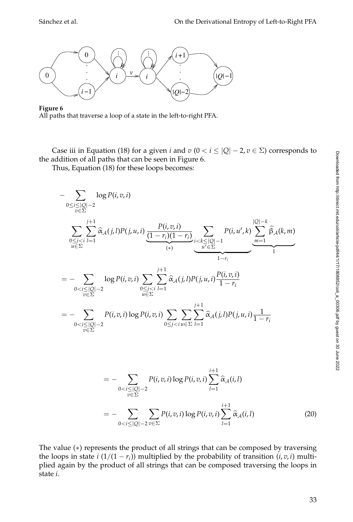

### **Figure 6**

All paths that traverse a loop of a state in the left-to-right PFA.

Case iii in Equation (18) for a given *i* and  $v$  ( $0 < i \leq |Q| - 2$ ,  $v \in \Sigma$ ) corresponds to the addition of all paths that can be seen in Figure 6.

Thus, Equation (18) for these loops becomes:

$$
-\sum_{0 \le i \le |\mathcal{Q}|-2} \log P(i, v, i)
$$
\n
$$
\sum_{0 \le j < i \atop u \in \Sigma} \sum_{l=1}^{j+1} \hat{\alpha}_{A}(j, l) P(j, u, i) \underbrace{\frac{P(i, v, i)}{(1-r_{i})(1-r_{i})}}_{(*)} \underbrace{\sum_{i < k \le |\mathcal{Q}|-1} P(i, u', k)}_{1-r_{i}} \underbrace{\sum_{m=1}^{|\mathcal{Q}|-k} \hat{\beta}_{A}(k, m)}_{1-r_{i}}
$$
\n
$$
= -\sum_{0 < i \le |\mathcal{Q}|-2} \log P(i, v, i) \sum_{u \in \Sigma} \sum_{l=1}^{j+1} \hat{\alpha}_{A}(j, l) P(j, u, i) \frac{P(i, v, i)}{1-r_{i}}
$$
\n
$$
= -\sum_{0 < i \le |\mathcal{Q}|-2} P(i, v, i) \log P(i, v, i) \sum_{0 \le j < i \le \Sigma} \sum_{l=1}^{j+1} \hat{\alpha}_{A}(j, l) P(j, u, i) \frac{1}{1-r_{i}}
$$
\n
$$
= -\sum_{0 < i \le |\mathcal{Q}|-2} P(i, v, i) \log P(i, v, i) \sum_{l=1}^{j+1} \hat{\alpha}_{A}(i, l)
$$
\n
$$
= -\sum_{0 < i < |\mathcal{Q}|-2} \sum_{v \in \Sigma} P(i, v, i) \log P(i, v, i) \sum_{l=1}^{j+1} \hat{\alpha}_{A}(i, l)
$$
\n
$$
= -\sum_{0 < i < |\mathcal{Q}|-2} \sum_{m \in \Sigma} P(i, v, i) \log P(i, v, i) \sum_{l=1}^{j+1} \hat{\alpha}_{A}(i, l)
$$
\n(20)

The value (∗) represents the product of all strings that can be composed by traversing the loops in state *i*  $(1/(1 - r_i))$  multiplied by the probability of transition  $(i, v, i)$  multiplied again by the product of all strings that can be composed traversing the loops in state *i*.

*l*=1

0<*i*≤|*Q*|−2

*v*∈Σ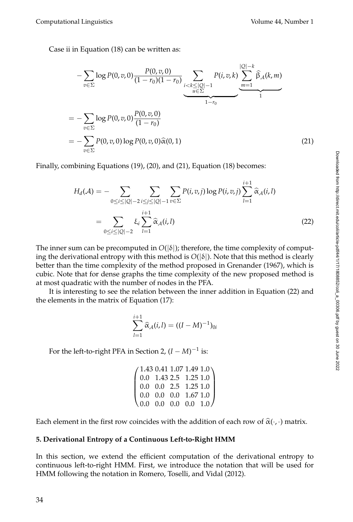Computational Linguistics Volume 44, Number 1

Case ii in Equation (18) can be written as:

$$
-\sum_{v\in\Sigma}\log P(0,v,0)\frac{P(0,v,0)}{(1-r_0)(1-r_0)}\sum_{\substack{i  
=\n
$$
-\sum_{v\in\Sigma}\log P(0,v,0)\frac{P(0,v,0)}{(1-r_0)}
$$
  
=\n
$$
-\sum_{v\in\Sigma}P(0,v,0)\log P(0,v,0)\widehat{\alpha}(0,1)
$$
\n(21)
$$

Finally, combining Equations (19), (20), and (21), Equation (18) becomes:

$$
H_d(\mathcal{A}) = -\sum_{0 \le i \le |\mathcal{Q}| - 2} \sum_{i \le j \le |\mathcal{Q}| - 1} \sum_{v \in \Sigma} P(i, v, j) \log P(i, v, j) \sum_{l=1}^{i+1} \widehat{\alpha}_{\mathcal{A}}(i, l)
$$
  
= 
$$
\sum_{0 \le i \le |\mathcal{Q}| - 2} \xi_i \sum_{l=1}^{i+1} \widehat{\alpha}_{\mathcal{A}}(i, l)
$$
(22)

The inner sum can be precomputed in  $O(|\delta|)$ ; therefore, the time complexity of computing the derivational entropy with this method is  $O(|\delta|)$ . Note that this method is clearly better than the time complexity of the method proposed in Grenander (1967), which is cubic. Note that for dense graphs the time complexity of the new proposed method is at most quadratic with the number of nodes in the PFA.

It is interesting to see the relation between the inner addition in Equation (22) and the elements in the matrix of Equation (17):

$$
\sum_{l=1}^{i+1} \widehat{\alpha}_{\mathcal{A}}(i,l) = ((I-M)^{-1})_{0i}
$$

For the left-to-right PFA in Section 2,  $(I - M)^{-1}$  is:

| $\begin{pmatrix} 1.43 & 0.41 & 1.07 & 1.49 & 1.0 \\ 0.0 & 1.43 & 2.5 & 1.25 & 1.0 \\ 0.0 & 0.0 & 2.5 & 1.25 & 1.0 \\ 0.0 & 0.0 & 0.0 & 1.67 & 1.0 \\ 0.0 & 0.0 & 0.0 & 0.0 & 1.0 \end{pmatrix}$ |  |  |
|-------------------------------------------------------------------------------------------------------------------------------------------------------------------------------------------------|--|--|

Each element in the first row coincides with the addition of each row of  $\hat{\alpha}(\cdot,\cdot)$  matrix.

### **5. Derivational Entropy of a Continuous Left-to-Right HMM**

In this section, we extend the efficient computation of the derivational entropy to continuous left-to-right HMM. First, we introduce the notation that will be used for HMM following the notation in Romero, Toselli, and Vidal (2012).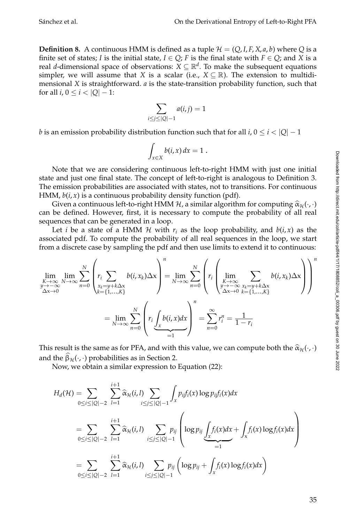**Definition 8.** A continuous HMM is defined as a tuple  $\mathcal{H} = (Q, I, F, X, a, b)$  where Q is a finite set of states; *I* is the initial state,  $I \in Q$ ; *F* is the final state with  $F \in Q$ ; and *X* is a real *d*-dimensional space of observations:  $X \subseteq \mathbb{R}^d$ . To make the subsequent equations simpler, we will assume that *X* is a scalar (i.e.,  $X \subseteq \mathbb{R}$ ). The extension to multidimensional *X* is straightforward. *a* is the state-transition probability function, such that for all *i*,  $0 \le i < |Q| - 1$ :

$$
\sum_{i \le j \le |Q|-1} a(i,j) = 1
$$

*b* is an emission probability distribution function such that for all *i*,  $0 \le i \le |Q| - 1$ 

$$
\int_{x\in X} b(i,x)\,dx=1\;.
$$

Note that we are considering continuous left-to-right HMM with just one initial state and just one final state. The concept of left-to-right is analogous to Definition 3. The emission probabilities are associated with states, not to transitions. For continuous HMM, *b*(*i*, *x*) is a continuous probability density function (pdf).

Given a continuous left-to-right HMM H, a similar algorithm for computing  $\hat{\alpha}_{H}(\cdot,\cdot)$ can be defined. However, first, it is necessary to compute the probability of all real sequences that can be generated in a loop.

Let *i* be a state of a HMM H with  $r_i$  as the loop probability, and  $b(i, x)$  as the associated pdf. To compute the probability of all real sequences in the loop, we start from a discrete case by sampling the pdf and then use limits to extend it to continuous:

$$
\lim_{\substack{K \to \infty \\ y \to -\infty}} \lim_{N \to \infty} \sum_{n=0}^{N} \left( r_i \sum_{\substack{x_k = y + k\Delta x \\ k \in \{1, \dots, K\}}} b(i, x_k) \Delta x \right)^n = \lim_{N \to \infty} \sum_{n=0}^{N} \left( r_i \left( \lim_{\substack{K \to \infty \\ y \to -\infty}} \sum_{\substack{x_k = y + k\Delta x \\ k \in \{1, \dots, K\}}} b(i, x_k) \Delta x \right) \right)^n
$$

$$
= \lim_{N \to \infty} \sum_{n=0}^{N} \left( r_i \underbrace{\int_x b(i, x) dx}_{=1} \right)^n = \sum_{n=0}^{\infty} r_i^n = \frac{1}{1 - r_i}
$$

This result is the same as for PFA, and with this value, we can compute both the  $\hat{\alpha}_{\mathcal{H}}(\cdot,\cdot)$ and the  $\beta_{\mathcal{H}}(\cdot, \cdot)$  probabilities as in Section 2.

Now, we obtain a similar expression to Equation (22):

$$
H_d(\mathcal{H}) = \sum_{0 \le i \le |Q|-2} \sum_{l=1}^{i+1} \widehat{\alpha}_{\mathcal{H}}(i,l) \sum_{i \le j \le |Q|-1} \int_x p_{ij} f_i(x) \log p_{ij} f_i(x) dx
$$
  
\n
$$
= \sum_{0 \le i \le |Q|-2} \sum_{l=1}^{i+1} \widehat{\alpha}_{\mathcal{H}}(i,l) \sum_{i \le j \le |Q|-1} p_{ij} \left( \log p_{ij} \int_x f_i(x) dx + \int_x f_i(x) \log f_i(x) dx \right)
$$
  
\n
$$
= \sum_{0 \le i \le |Q|-2} \sum_{l=1}^{i+1} \widehat{\alpha}_{\mathcal{H}}(i,l) \sum_{i \le j \le |Q|-1} p_{ij} \left( \log p_{ij} + \int_x f_i(x) \log f_i(x) dx \right)
$$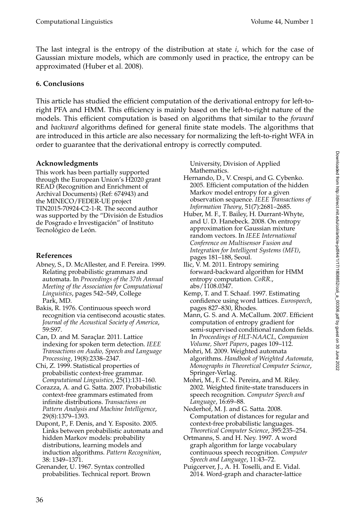The last integral is the entropy of the distribution at state *i*, which for the case of Gaussian mixture models, which are commonly used in practice, the entropy can be approximated (Huber et al. 2008).

### **6. Conclusions**

This article has studied the efficient computation of the derivational entropy for left-toright PFA and HMM. This efficiency is mainly based on the left-to-right nature of the models. This efficient computation is based on algorithms that similar to the *forward* and *backward* algorithms defined for general finite state models. The algorithms that are introduced in this article are also necessary for normalizing the left-to-right WFA in order to guarantee that the derivational entropy is correctly computed.

### **Acknowledgments**

This work has been partially supported through the European Union's H2020 grant READ (Recognition and Enrichment of Archival Documents) (Ref: 674943) and the MINECO/FEDER-UE project TIN2015-70924-C2-1-R. The second author was supported by the "División de Estudios de Posgrado e Investigación" of Instituto Tecnológico de León.

### **References**

- Abney, S., D. McAllester, and F. Pereira. 1999. Relating probabilistic grammars and automata. In *Proceedings of the 37th Annual Meeting of the Association for Computational Linguistics*, pages 542–549, College Park, MD.
- Bakis, R. 1976. Continuous speech word recognition via centisecond acoustic states. *Journal of the Acoustical Society of America*, 59:S97.
- Can, D. and M. Saraçlar. 2011. Lattice indexing for spoken term detection. *IEEE Transactions on Audio, Speech and Language Processing*, 19(8):2338–2347.
- Chi, Z. 1999. Statistical properties of probabilistic context-free grammar. *Computational Linguistics*, 25(1):131–160.
- Corazza, A. and G. Satta. 2007. Probabilistic context-free grammars estimated from infinite distributions. *Transactions on Pattern Analysis and Machine Intelligence*, 29(8):1379–1393.
- Dupont, P., F. Denis, and Y. Esposito. 2005. Links between probabilistic automata and hidden Markov models: probability distributions, learning models and induction algorithms. *Pattern Recognition*, 38: 1349–1371.
- Grenander, U. 1967. Syntax controlled probabilities. Technical report. Brown

University, Division of Applied Mathematics.

- Hernando, D., V. Crespi, and G. Cybenko. 2005. Efficient computation of the hidden Markov model entropy for a given observation sequence. *IEEE Transactions of Information Theory*, 51(7):2681–2685.
- Huber, M. F., T. Bailey, H. Durrant-Whyte, and U. D. Hanebeck. 2008. On entropy approximation for Gaussian mixture random vectors. In *IEEE International Conference on Multisensor Fusion and Integration for Intelligent Systems (MFI)*, pages 181–188, Seoul.
- Ilic, V. M. 2011. Entropy semiring forward-backward algorithm for HMM entropy computation. *CoRR*., abs/1108.0347.
- Kemp, T. and T. Schaaf. 1997. Estimating confidence using word lattices. *Eurospeech*, pages 827–830, Rhodes.
- Mann, G. S. and A. McCallum. 2007. Efficient computation of entropy gradient for semi-supervised conditional random fields. In *Proceedings of HLT-NAACL, Companion Volume, Short Papers*, pages 109–112.
- Mohri, M. 2009. Weighted automata algorithms. *Handbook of Weighted Automata, Monographs in Theoretical Computer Science*, Springer-Verlag.
- Mohri, M., F. C. N. Pereira, and M. Riley. 2002. Weighted finite-state transducers in speech recognition. *Computer Speech and Language*, 16:69–88.
- Nederhof, M. J. and G. Satta. 2008. Computation of distances for regular and context-free probabilistic languages. *Theoretical Computer Science*, 395:235–254.
- Ortmanns, S. and H. Ney. 1997. A word graph algorithm for large vocabulary continuous speech recognition. *Computer Speech and Language*, 11:43–72.
- Puigcerver, J., A. H. Toselli, and E. Vidal. 2014. Word-graph and character-lattice